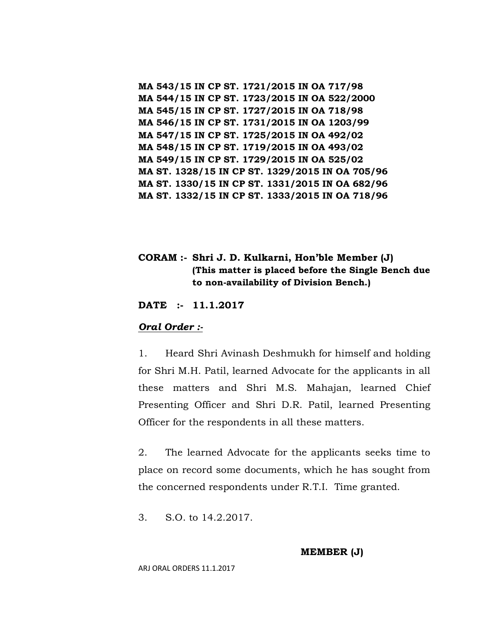**MA 543/15 IN CP ST. 1721/2015 IN OA 717/98 MA 544/15 IN CP ST. 1723/2015 IN OA 522/2000 MA 545/15 IN CP ST. 1727/2015 IN OA 718/98 MA 546/15 IN CP ST. 1731/2015 IN OA 1203/99 MA 547/15 IN CP ST. 1725/2015 IN OA 492/02 MA 548/15 IN CP ST. 1719/2015 IN OA 493/02 MA 549/15 IN CP ST. 1729/2015 IN OA 525/02 MA ST. 1328/15 IN CP ST. 1329/2015 IN OA 705/96 MA ST. 1330/15 IN CP ST. 1331/2015 IN OA 682/96 MA ST. 1332/15 IN CP ST. 1333/2015 IN OA 718/96**

## **CORAM :- Shri J. D. Kulkarni, Hon'ble Member (J) (This matter is placed before the Single Bench due to non-availability of Division Bench.)**

**DATE :- 11.1.2017**

### *Oral Order :-*

1. Heard Shri Avinash Deshmukh for himself and holding for Shri M.H. Patil, learned Advocate for the applicants in all these matters and Shri M.S. Mahajan, learned Chief Presenting Officer and Shri D.R. Patil, learned Presenting Officer for the respondents in all these matters.

2. The learned Advocate for the applicants seeks time to place on record some documents, which he has sought from the concerned respondents under R.T.I. Time granted.

3. S.O. to 14.2.2017.

**MEMBER (J)**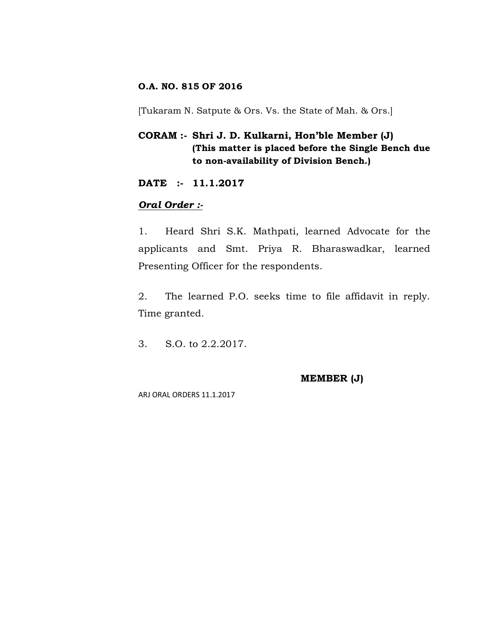## **O.A. NO. 815 OF 2016**

[Tukaram N. Satpute & Ors. Vs. the State of Mah. & Ors.]

## **CORAM :- Shri J. D. Kulkarni, Hon'ble Member (J) (This matter is placed before the Single Bench due to non-availability of Division Bench.)**

**DATE :- 11.1.2017**

## *Oral Order :-*

1. Heard Shri S.K. Mathpati, learned Advocate for the applicants and Smt. Priya R. Bharaswadkar, learned Presenting Officer for the respondents.

2. The learned P.O. seeks time to file affidavit in reply. Time granted.

3. S.O. to 2.2.2017.

**MEMBER (J)**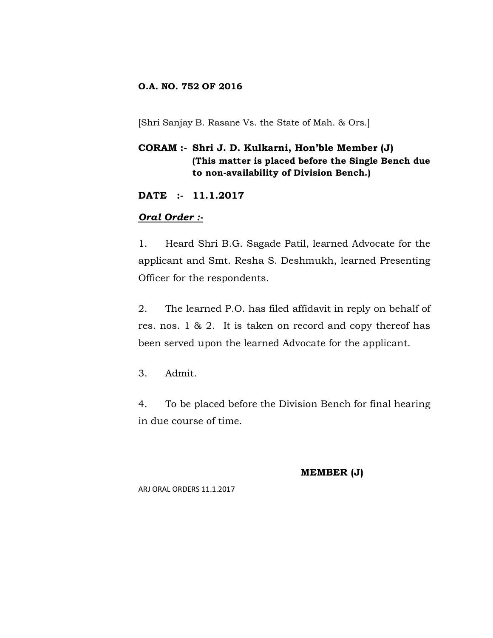### **O.A. NO. 752 OF 2016**

[Shri Sanjay B. Rasane Vs. the State of Mah. & Ors.]

# **CORAM :- Shri J. D. Kulkarni, Hon'ble Member (J) (This matter is placed before the Single Bench due to non-availability of Division Bench.)**

**DATE :- 11.1.2017**

## *Oral Order :-*

1. Heard Shri B.G. Sagade Patil, learned Advocate for the applicant and Smt. Resha S. Deshmukh, learned Presenting Officer for the respondents.

2. The learned P.O. has filed affidavit in reply on behalf of res. nos. 1 & 2. It is taken on record and copy thereof has been served upon the learned Advocate for the applicant.

3. Admit.

4. To be placed before the Division Bench for final hearing in due course of time.

**MEMBER (J)**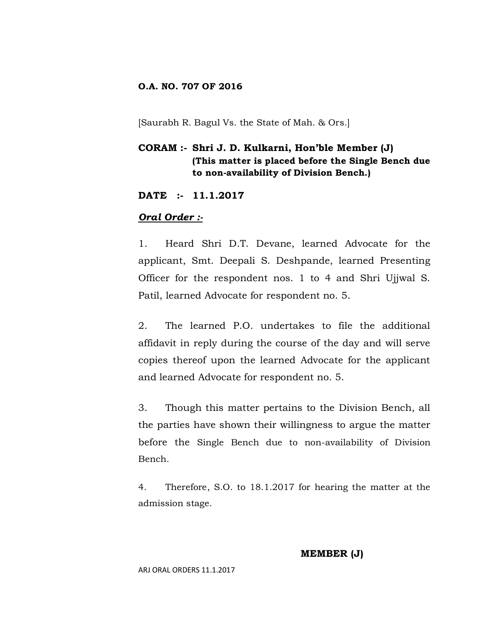### **O.A. NO. 707 OF 2016**

[Saurabh R. Bagul Vs. the State of Mah. & Ors.]

## **CORAM :- Shri J. D. Kulkarni, Hon'ble Member (J) (This matter is placed before the Single Bench due to non-availability of Division Bench.)**

**DATE :- 11.1.2017**

### *Oral Order :-*

1. Heard Shri D.T. Devane, learned Advocate for the applicant, Smt. Deepali S. Deshpande, learned Presenting Officer for the respondent nos. 1 to 4 and Shri Ujjwal S. Patil, learned Advocate for respondent no. 5.

2. The learned P.O. undertakes to file the additional affidavit in reply during the course of the day and will serve copies thereof upon the learned Advocate for the applicant and learned Advocate for respondent no. 5.

3. Though this matter pertains to the Division Bench, all the parties have shown their willingness to argue the matter before the Single Bench due to non-availability of Division Bench.

4. Therefore, S.O. to 18.1.2017 for hearing the matter at the admission stage.

**MEMBER (J)**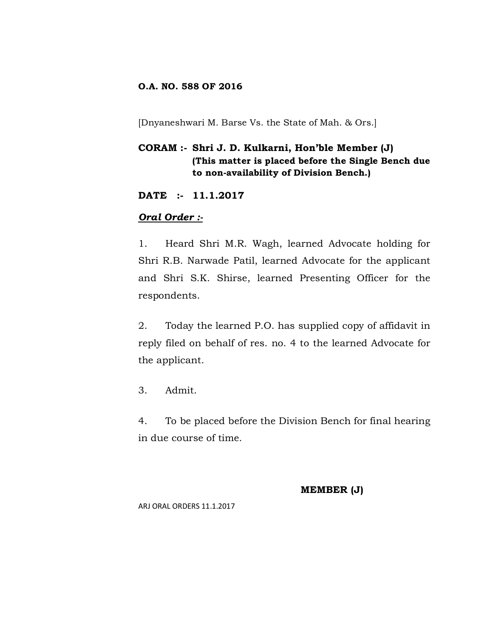## **O.A. NO. 588 OF 2016**

[Dnyaneshwari M. Barse Vs. the State of Mah. & Ors.]

# **CORAM :- Shri J. D. Kulkarni, Hon'ble Member (J) (This matter is placed before the Single Bench due to non-availability of Division Bench.)**

**DATE :- 11.1.2017**

## *Oral Order :-*

1. Heard Shri M.R. Wagh, learned Advocate holding for Shri R.B. Narwade Patil, learned Advocate for the applicant and Shri S.K. Shirse, learned Presenting Officer for the respondents.

2. Today the learned P.O. has supplied copy of affidavit in reply filed on behalf of res. no. 4 to the learned Advocate for the applicant.

3. Admit.

4. To be placed before the Division Bench for final hearing in due course of time.

#### **MEMBER (J)**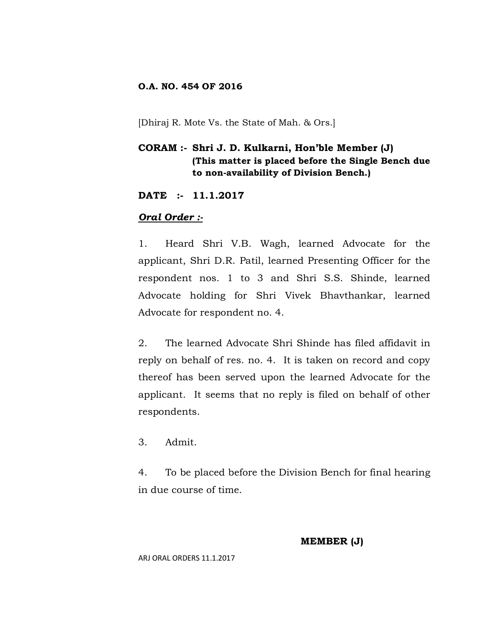### **O.A. NO. 454 OF 2016**

[Dhiraj R. Mote Vs. the State of Mah. & Ors.]

## **CORAM :- Shri J. D. Kulkarni, Hon'ble Member (J) (This matter is placed before the Single Bench due to non-availability of Division Bench.)**

**DATE :- 11.1.2017**

### *Oral Order :-*

1. Heard Shri V.B. Wagh, learned Advocate for the applicant, Shri D.R. Patil, learned Presenting Officer for the respondent nos. 1 to 3 and Shri S.S. Shinde, learned Advocate holding for Shri Vivek Bhavthankar, learned Advocate for respondent no. 4.

2. The learned Advocate Shri Shinde has filed affidavit in reply on behalf of res. no. 4. It is taken on record and copy thereof has been served upon the learned Advocate for the applicant. It seems that no reply is filed on behalf of other respondents.

3. Admit.

4. To be placed before the Division Bench for final hearing in due course of time.

### **MEMBER (J)**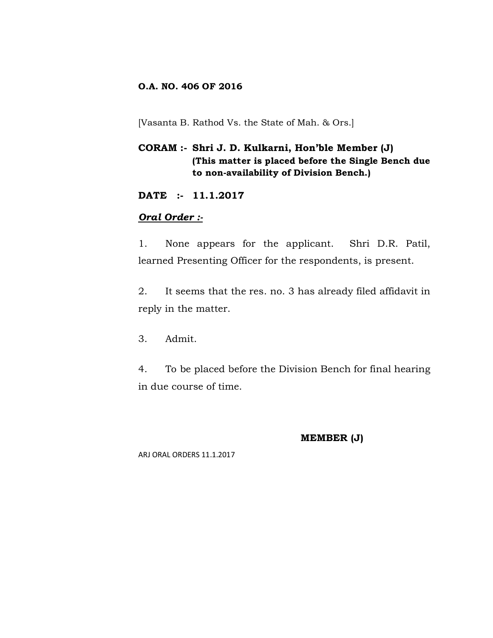## **O.A. NO. 406 OF 2016**

[Vasanta B. Rathod Vs. the State of Mah. & Ors.]

## **CORAM :- Shri J. D. Kulkarni, Hon'ble Member (J) (This matter is placed before the Single Bench due to non-availability of Division Bench.)**

**DATE :- 11.1.2017**

## *Oral Order :-*

1. None appears for the applicant. Shri D.R. Patil, learned Presenting Officer for the respondents, is present.

2. It seems that the res. no. 3 has already filed affidavit in reply in the matter.

3. Admit.

4. To be placed before the Division Bench for final hearing in due course of time.

### **MEMBER (J)**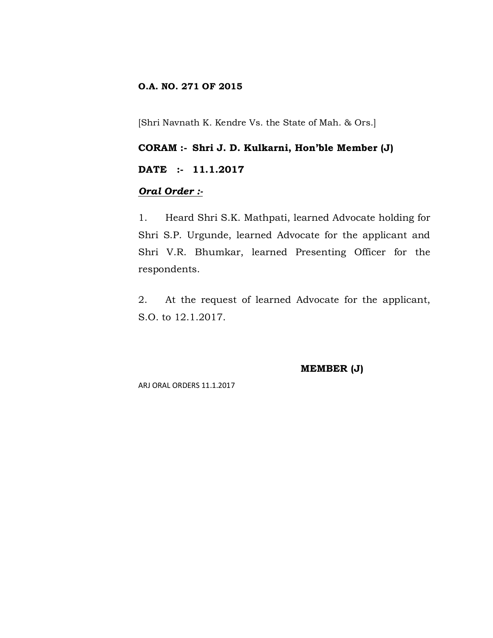## **O.A. NO. 271 OF 2015**

[Shri Navnath K. Kendre Vs. the State of Mah. & Ors.]

## **CORAM :- Shri J. D. Kulkarni, Hon'ble Member (J)**

### **DATE :- 11.1.2017**

## *Oral Order :-*

1. Heard Shri S.K. Mathpati, learned Advocate holding for Shri S.P. Urgunde, learned Advocate for the applicant and Shri V.R. Bhumkar, learned Presenting Officer for the respondents.

2. At the request of learned Advocate for the applicant, S.O. to 12.1.2017.

### **MEMBER (J)**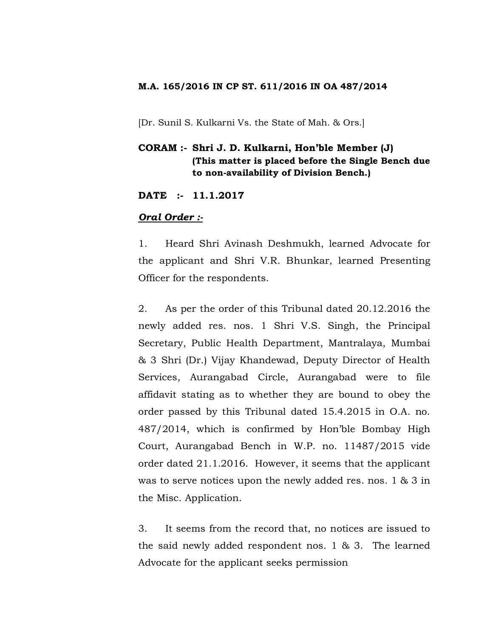### **M.A. 165/2016 IN CP ST. 611/2016 IN OA 487/2014**

[Dr. Sunil S. Kulkarni Vs. the State of Mah. & Ors.]

## **CORAM :- Shri J. D. Kulkarni, Hon'ble Member (J) (This matter is placed before the Single Bench due to non-availability of Division Bench.)**

**DATE :- 11.1.2017**

### *Oral Order :-*

1. Heard Shri Avinash Deshmukh, learned Advocate for the applicant and Shri V.R. Bhunkar, learned Presenting Officer for the respondents.

2. As per the order of this Tribunal dated 20.12.2016 the newly added res. nos. 1 Shri V.S. Singh, the Principal Secretary, Public Health Department, Mantralaya, Mumbai & 3 Shri (Dr.) Vijay Khandewad, Deputy Director of Health Services, Aurangabad Circle, Aurangabad were to file affidavit stating as to whether they are bound to obey the order passed by this Tribunal dated 15.4.2015 in O.A. no. 487/2014, which is confirmed by Hon'ble Bombay High Court, Aurangabad Bench in W.P. no. 11487/2015 vide order dated 21.1.2016. However, it seems that the applicant was to serve notices upon the newly added res. nos. 1 & 3 in the Misc. Application.

3. It seems from the record that, no notices are issued to the said newly added respondent nos. 1 & 3. The learned Advocate for the applicant seeks permission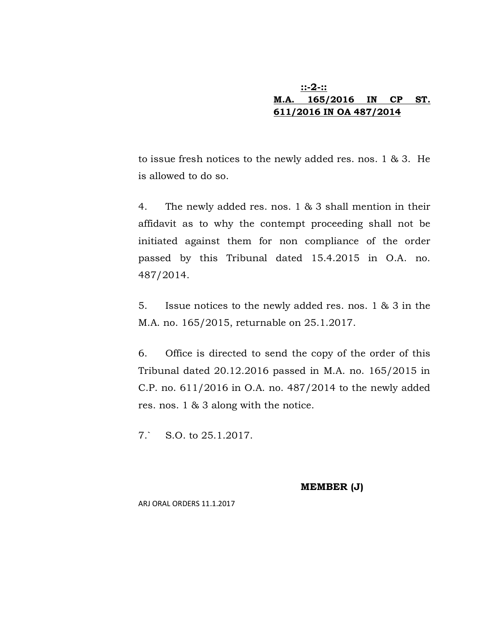## **::-2-:: M.A. 165/2016 IN CP ST. 611/2016 IN OA 487/2014**

to issue fresh notices to the newly added res. nos. 1 & 3. He is allowed to do so.

4. The newly added res. nos. 1 & 3 shall mention in their affidavit as to why the contempt proceeding shall not be initiated against them for non compliance of the order passed by this Tribunal dated 15.4.2015 in O.A. no. 487/2014.

5. Issue notices to the newly added res. nos. 1 & 3 in the M.A. no. 165/2015, returnable on 25.1.2017.

6. Office is directed to send the copy of the order of this Tribunal dated 20.12.2016 passed in M.A. no. 165/2015 in C.P. no. 611/2016 in O.A. no. 487/2014 to the newly added res. nos. 1 & 3 along with the notice.

7.` S.O. to 25.1.2017.

**MEMBER (J)**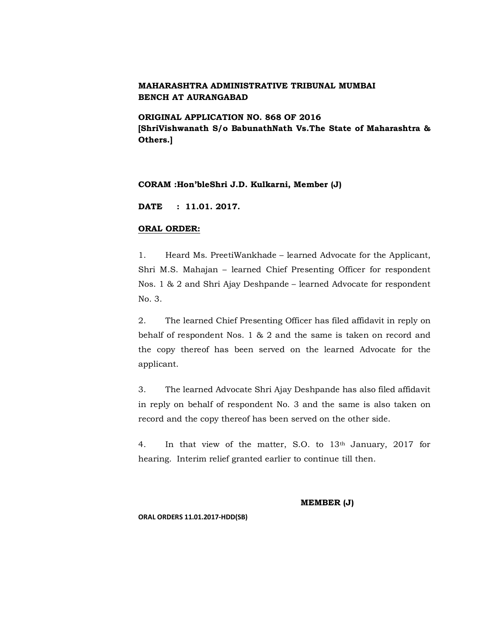**ORIGINAL APPLICATION NO. 868 OF 2016 [ShriVishwanath S/o BabunathNath Vs.The State of Maharashtra & Others.]**

#### **CORAM :Hon'bleShri J.D. Kulkarni, Member (J)**

**DATE : 11.01. 2017.**

#### **ORAL ORDER:**

1. Heard Ms. PreetiWankhade – learned Advocate for the Applicant, Shri M.S. Mahajan – learned Chief Presenting Officer for respondent Nos. 1 & 2 and Shri Ajay Deshpande – learned Advocate for respondent No. 3.

2. The learned Chief Presenting Officer has filed affidavit in reply on behalf of respondent Nos. 1 & 2 and the same is taken on record and the copy thereof has been served on the learned Advocate for the applicant.

3. The learned Advocate Shri Ajay Deshpande has also filed affidavit in reply on behalf of respondent No. 3 and the same is also taken on record and the copy thereof has been served on the other side.

4. In that view of the matter, S.O. to  $13<sup>th</sup>$  January, 2017 for hearing. Interim relief granted earlier to continue till then.

#### **MEMBER (J)**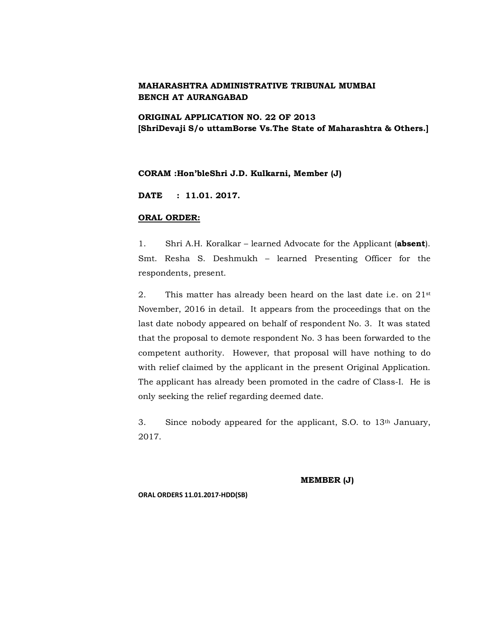### **ORIGINAL APPLICATION NO. 22 OF 2013 [ShriDevaji S/o uttamBorse Vs.The State of Maharashtra & Others.]**

#### **CORAM :Hon'bleShri J.D. Kulkarni, Member (J)**

**DATE : 11.01. 2017.**

#### **ORAL ORDER:**

1. Shri A.H. Koralkar – learned Advocate for the Applicant (**absent**). Smt. Resha S. Deshmukh – learned Presenting Officer for the respondents, present.

2. This matter has already been heard on the last date i.e. on  $21$ <sup>st</sup> November, 2016 in detail. It appears from the proceedings that on the last date nobody appeared on behalf of respondent No. 3. It was stated that the proposal to demote respondent No. 3 has been forwarded to the competent authority. However, that proposal will have nothing to do with relief claimed by the applicant in the present Original Application. The applicant has already been promoted in the cadre of Class-I. He is only seeking the relief regarding deemed date.

3. Since nobody appeared for the applicant, S.O. to 13th January, 2017.

**MEMBER (J)**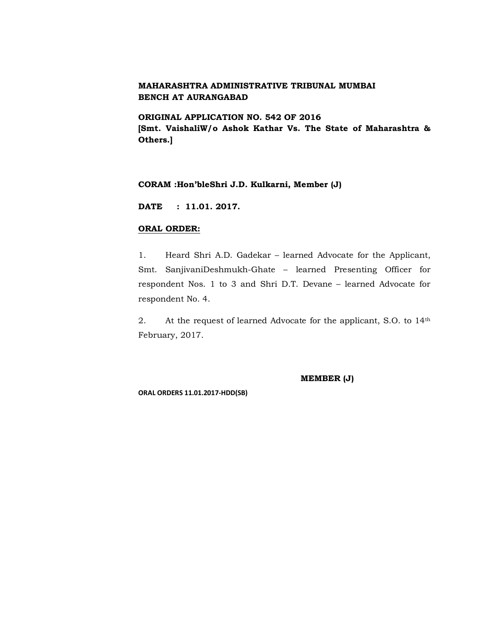**ORIGINAL APPLICATION NO. 542 OF 2016 [Smt. VaishaliW/o Ashok Kathar Vs. The State of Maharashtra & Others.]**

#### **CORAM :Hon'bleShri J.D. Kulkarni, Member (J)**

**DATE : 11.01. 2017.**

#### **ORAL ORDER:**

1. Heard Shri A.D. Gadekar – learned Advocate for the Applicant, Smt. SanjivaniDeshmukh-Ghate – learned Presenting Officer for respondent Nos. 1 to 3 and Shri D.T. Devane – learned Advocate for respondent No. 4.

2. At the request of learned Advocate for the applicant, S.O. to 14th February, 2017.

**MEMBER (J)**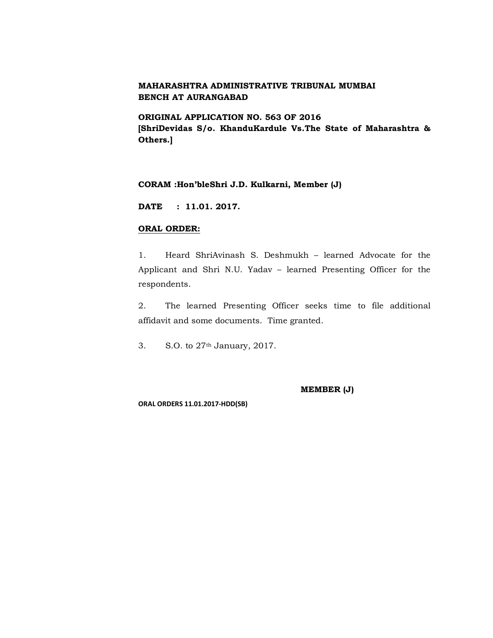**ORIGINAL APPLICATION NO. 563 OF 2016 [ShriDevidas S/o. KhanduKardule Vs.The State of Maharashtra & Others.]**

#### **CORAM :Hon'bleShri J.D. Kulkarni, Member (J)**

**DATE : 11.01. 2017.**

#### **ORAL ORDER:**

1. Heard ShriAvinash S. Deshmukh – learned Advocate for the Applicant and Shri N.U. Yadav – learned Presenting Officer for the respondents.

2. The learned Presenting Officer seeks time to file additional affidavit and some documents. Time granted.

3. S.O. to 27th January, 2017.

**MEMBER (J)**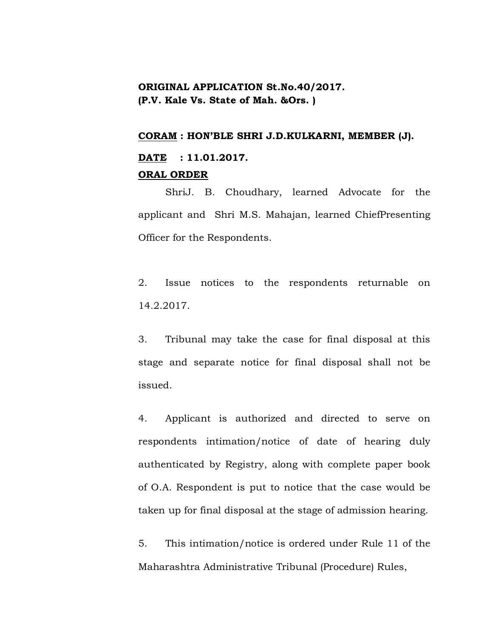# **ORIGINAL APPLICATION St.No.40/2017. (P.V. Kale Vs. State of Mah. &Ors. )**

#### **CORAM : HON'BLE SHRI J.D.KULKARNI, MEMBER (J).**

# **DATE : 11.01.2017. ORAL ORDER**

ShriJ. B. Choudhary, learned Advocate for the applicant and Shri M.S. Mahajan, learned ChiefPresenting Officer for the Respondents.

2. Issue notices to the respondents returnable on 14.2.2017.

3. Tribunal may take the case for final disposal at this stage and separate notice for final disposal shall not be issued.

4. Applicant is authorized and directed to serve on respondents intimation/notice of date of hearing duly authenticated by Registry, along with complete paper book of O.A. Respondent is put to notice that the case would be taken up for final disposal at the stage of admission hearing.

5. This intimation/notice is ordered under Rule 11 of the Maharashtra Administrative Tribunal (Procedure) Rules,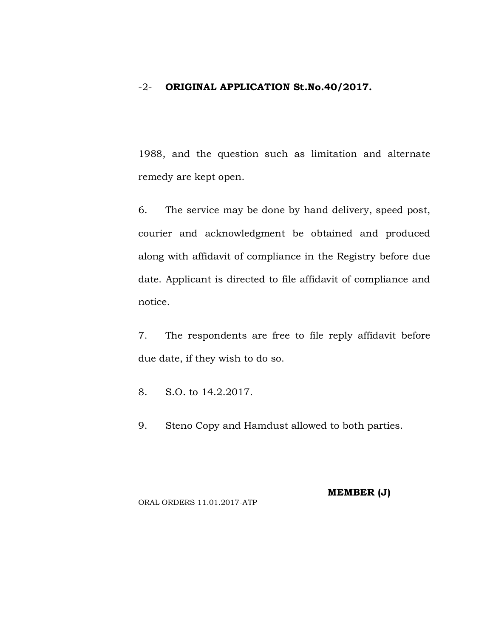## -2- **ORIGINAL APPLICATION St.No.40/2017.**

1988, and the question such as limitation and alternate remedy are kept open.

6. The service may be done by hand delivery, speed post, courier and acknowledgment be obtained and produced along with affidavit of compliance in the Registry before due date. Applicant is directed to file affidavit of compliance and notice.

7. The respondents are free to file reply affidavit before due date, if they wish to do so.

8. S.O. to 14.2.2017.

9. Steno Copy and Hamdust allowed to both parties.

#### ORAL ORDERS 11.01.2017-ATP

**MEMBER (J)**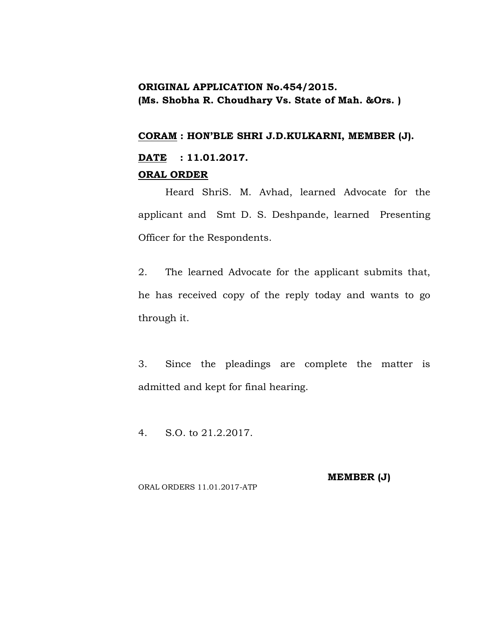# **ORIGINAL APPLICATION No.454/2015. (Ms. Shobha R. Choudhary Vs. State of Mah. &Ors. )**

### **CORAM : HON'BLE SHRI J.D.KULKARNI, MEMBER (J).**

# **DATE : 11.01.2017. ORAL ORDER**

Heard ShriS. M. Avhad, learned Advocate for the applicant and Smt D. S. Deshpande, learned Presenting Officer for the Respondents.

2. The learned Advocate for the applicant submits that, he has received copy of the reply today and wants to go through it.

3. Since the pleadings are complete the matter is admitted and kept for final hearing.

4. S.O. to 21.2.2017.

**MEMBER (J)**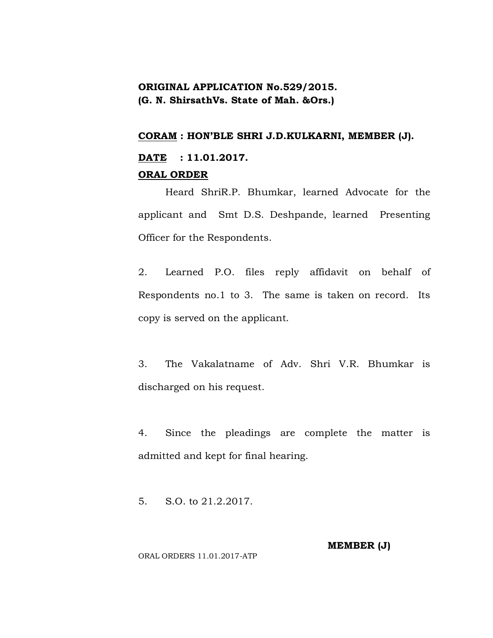# **ORIGINAL APPLICATION No.529/2015. (G. N. ShirsathVs. State of Mah. &Ors.)**

### **CORAM : HON'BLE SHRI J.D.KULKARNI, MEMBER (J).**

# **DATE : 11.01.2017. ORAL ORDER**

Heard ShriR.P. Bhumkar, learned Advocate for the applicant and Smt D.S. Deshpande, learned Presenting Officer for the Respondents.

2. Learned P.O. files reply affidavit on behalf of Respondents no.1 to 3. The same is taken on record. Its copy is served on the applicant.

3. The Vakalatname of Adv. Shri V.R. Bhumkar is discharged on his request.

4. Since the pleadings are complete the matter is admitted and kept for final hearing.

5. S.O. to 21.2.2017.

**MEMBER (J)**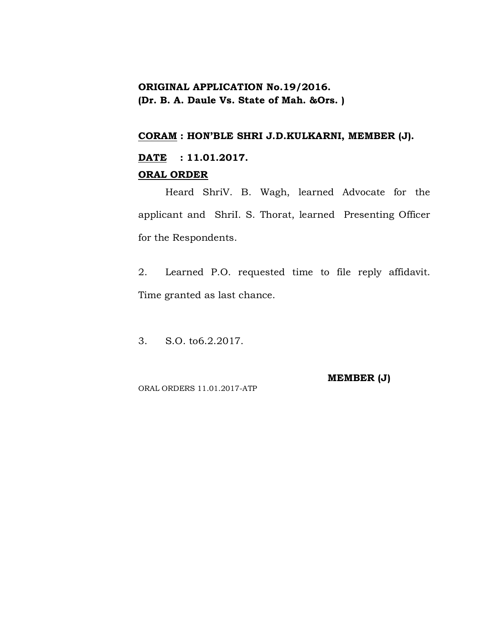# **ORIGINAL APPLICATION No.19/2016. (Dr. B. A. Daule Vs. State of Mah. &Ors. )**

### **CORAM : HON'BLE SHRI J.D.KULKARNI, MEMBER (J).**

# **DATE : 11.01.2017. ORAL ORDER**

Heard ShriV. B. Wagh, learned Advocate for the applicant and ShriI. S. Thorat, learned Presenting Officer for the Respondents.

2. Learned P.O. requested time to file reply affidavit. Time granted as last chance.

3. S.O. to6.2.2017.

ORAL ORDERS 11.01.2017-ATP

**MEMBER (J)**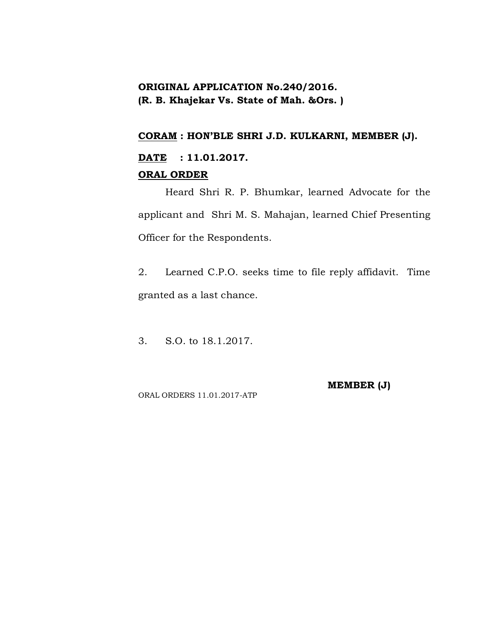# **ORIGINAL APPLICATION No.240/2016. (R. B. Khajekar Vs. State of Mah. &Ors. )**

## **CORAM : HON'BLE SHRI J.D. KULKARNI, MEMBER (J).**

# **DATE : 11.01.2017. ORAL ORDER**

Heard Shri R. P. Bhumkar, learned Advocate for the applicant and Shri M. S. Mahajan, learned Chief Presenting Officer for the Respondents.

2. Learned C.P.O. seeks time to file reply affidavit. Time granted as a last chance.

3. S.O. to 18.1.2017.

**MEMBER (J)**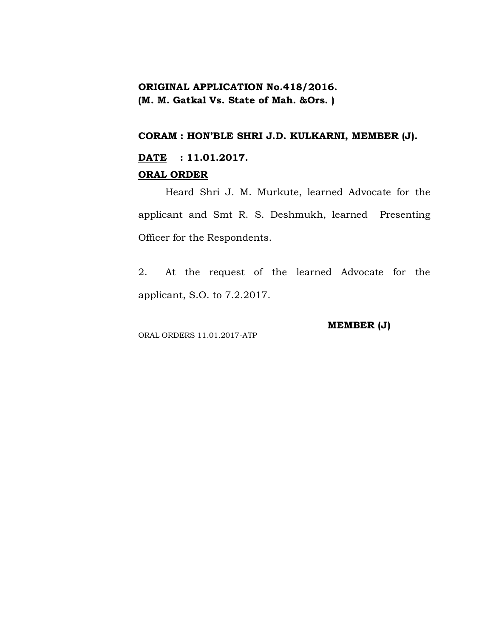# **ORIGINAL APPLICATION No.418/2016. (M. M. Gatkal Vs. State of Mah. &Ors. )**

## **CORAM : HON'BLE SHRI J.D. KULKARNI, MEMBER (J).**

# **DATE : 11.01.2017. ORAL ORDER**

Heard Shri J. M. Murkute, learned Advocate for the applicant and Smt R. S. Deshmukh, learned Presenting Officer for the Respondents.

2. At the request of the learned Advocate for the applicant, S.O. to 7.2.2017.

ORAL ORDERS 11.01.2017-ATP

**MEMBER (J)**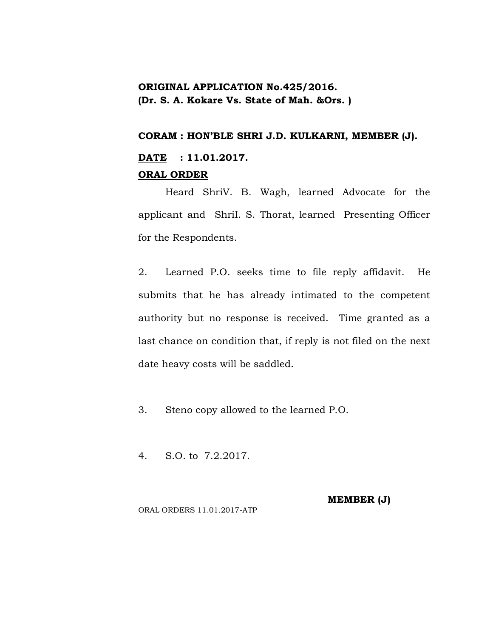# **ORIGINAL APPLICATION No.425/2016. (Dr. S. A. Kokare Vs. State of Mah. &Ors. )**

### **CORAM : HON'BLE SHRI J.D. KULKARNI, MEMBER (J).**

# **DATE : 11.01.2017. ORAL ORDER**

Heard ShriV. B. Wagh, learned Advocate for the applicant and ShriI. S. Thorat, learned Presenting Officer for the Respondents.

2. Learned P.O. seeks time to file reply affidavit. He submits that he has already intimated to the competent authority but no response is received. Time granted as a last chance on condition that, if reply is not filed on the next date heavy costs will be saddled.

- 3. Steno copy allowed to the learned P.O.
- 4. S.O. to 7.2.2017.

**MEMBER (J)**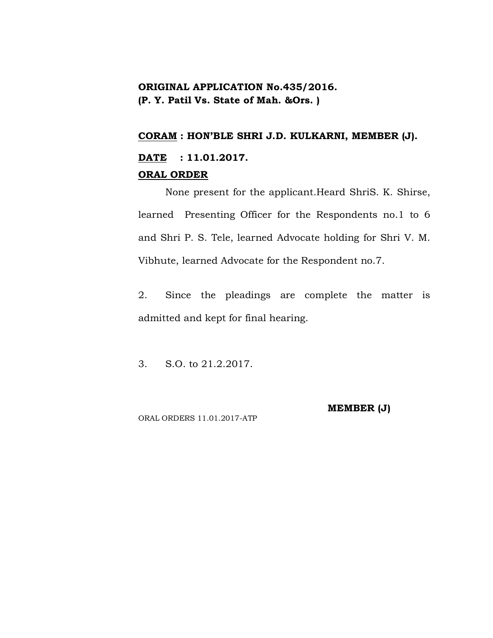# **ORIGINAL APPLICATION No.435/2016. (P. Y. Patil Vs. State of Mah. &Ors. )**

### **CORAM : HON'BLE SHRI J.D. KULKARNI, MEMBER (J).**

# **DATE : 11.01.2017. ORAL ORDER**

None present for the applicant.Heard ShriS. K. Shirse, learned Presenting Officer for the Respondents no.1 to 6 and Shri P. S. Tele, learned Advocate holding for Shri V. M. Vibhute, learned Advocate for the Respondent no.7.

2. Since the pleadings are complete the matter is admitted and kept for final hearing.

3. S.O. to 21.2.2017.

**MEMBER (J)**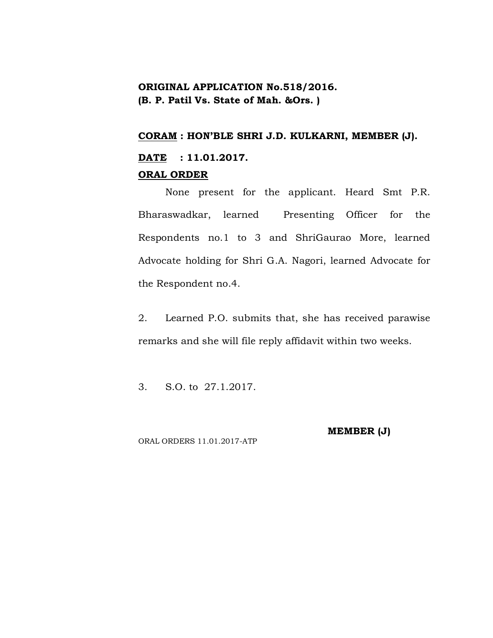# **ORIGINAL APPLICATION No.518/2016. (B. P. Patil Vs. State of Mah. &Ors. )**

### **CORAM : HON'BLE SHRI J.D. KULKARNI, MEMBER (J).**

# **DATE : 11.01.2017. ORAL ORDER**

None present for the applicant. Heard Smt P.R. Bharaswadkar, learned Presenting Officer for the Respondents no.1 to 3 and ShriGaurao More, learned Advocate holding for Shri G.A. Nagori, learned Advocate for the Respondent no.4.

2. Learned P.O. submits that, she has received parawise remarks and she will file reply affidavit within two weeks.

3. S.O. to 27.1.2017.

**MEMBER (J)**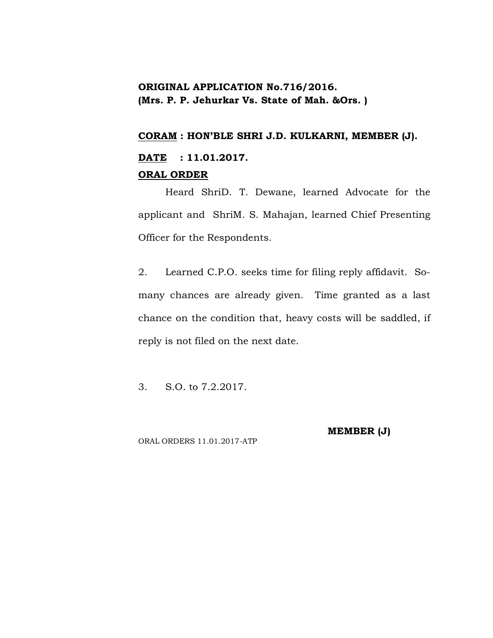# **ORIGINAL APPLICATION No.716/2016. (Mrs. P. P. Jehurkar Vs. State of Mah. &Ors. )**

### **CORAM : HON'BLE SHRI J.D. KULKARNI, MEMBER (J).**

# **DATE : 11.01.2017. ORAL ORDER**

Heard ShriD. T. Dewane, learned Advocate for the applicant and ShriM. S. Mahajan, learned Chief Presenting Officer for the Respondents.

2. Learned C.P.O. seeks time for filing reply affidavit. Somany chances are already given. Time granted as a last chance on the condition that, heavy costs will be saddled, if reply is not filed on the next date.

3. S.O. to 7.2.2017.

**MEMBER (J)**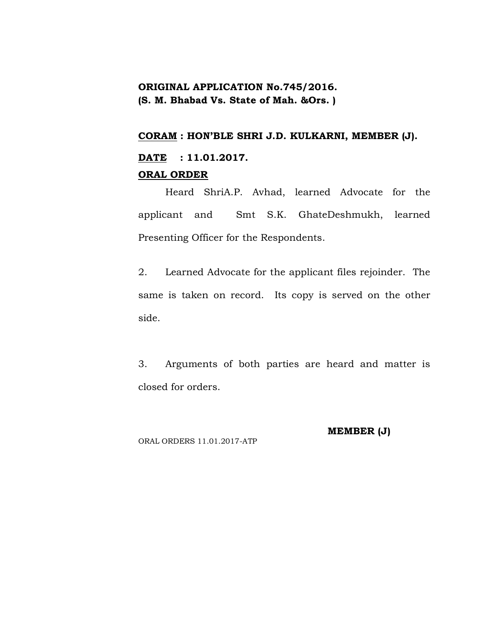# **ORIGINAL APPLICATION No.745/2016. (S. M. Bhabad Vs. State of Mah. &Ors. )**

### **CORAM : HON'BLE SHRI J.D. KULKARNI, MEMBER (J).**

# **DATE : 11.01.2017. ORAL ORDER**

Heard ShriA.P. Avhad, learned Advocate for the applicant and Smt S.K. GhateDeshmukh, learned Presenting Officer for the Respondents.

2. Learned Advocate for the applicant files rejoinder. The same is taken on record. Its copy is served on the other side.

3. Arguments of both parties are heard and matter is closed for orders.

ORAL ORDERS 11.01.2017-ATP

### **MEMBER (J)**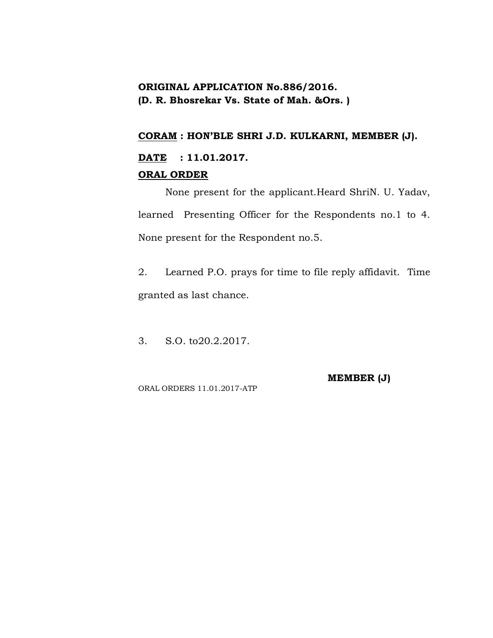# **ORIGINAL APPLICATION No.886/2016. (D. R. Bhosrekar Vs. State of Mah. &Ors. )**

## **CORAM : HON'BLE SHRI J.D. KULKARNI, MEMBER (J).**

# **DATE : 11.01.2017. ORAL ORDER**

None present for the applicant.Heard ShriN. U. Yadav, learned Presenting Officer for the Respondents no.1 to 4. None present for the Respondent no.5.

2. Learned P.O. prays for time to file reply affidavit. Time granted as last chance.

3. S.O. to20.2.2017.

ORAL ORDERS 11.01.2017-ATP

**MEMBER (J)**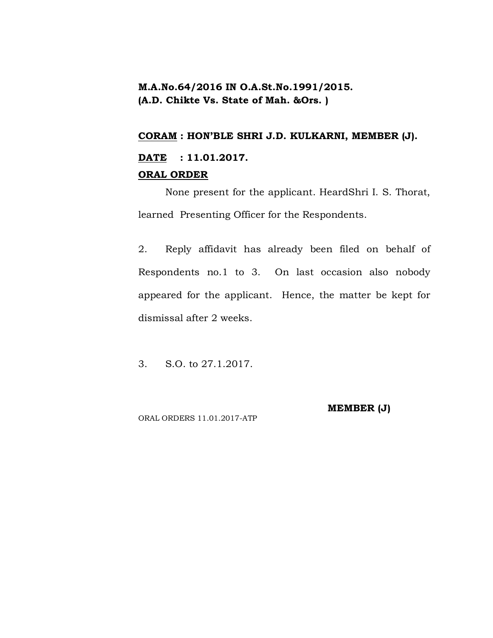# **M.A.No.64/2016 IN O.A.St.No.1991/2015. (A.D. Chikte Vs. State of Mah. &Ors. )**

### **CORAM : HON'BLE SHRI J.D. KULKARNI, MEMBER (J).**

# **DATE : 11.01.2017. ORAL ORDER**

None present for the applicant. HeardShri I. S. Thorat, learned Presenting Officer for the Respondents.

2. Reply affidavit has already been filed on behalf of Respondents no.1 to 3. On last occasion also nobody appeared for the applicant. Hence, the matter be kept for dismissal after 2 weeks.

3. S.O. to 27.1.2017.

**MEMBER (J)**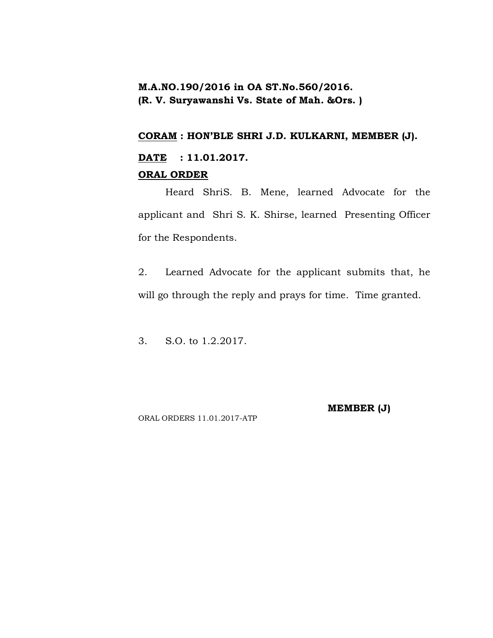# **M.A.NO.190/2016 in OA ST.No.560/2016. (R. V. Suryawanshi Vs. State of Mah. &Ors. )**

### **CORAM : HON'BLE SHRI J.D. KULKARNI, MEMBER (J).**

# **DATE : 11.01.2017. ORAL ORDER**

Heard ShriS. B. Mene, learned Advocate for the applicant and Shri S. K. Shirse, learned Presenting Officer for the Respondents.

2. Learned Advocate for the applicant submits that, he will go through the reply and prays for time. Time granted.

3. S.O. to 1.2.2017.

**MEMBER (J)**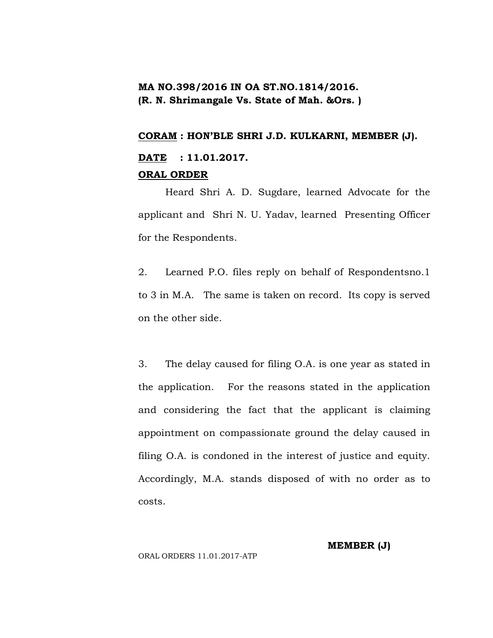# **MA NO.398/2016 IN OA ST.NO.1814/2016. (R. N. Shrimangale Vs. State of Mah. &Ors. )**

### **CORAM : HON'BLE SHRI J.D. KULKARNI, MEMBER (J).**

# **DATE : 11.01.2017. ORAL ORDER**

Heard Shri A. D. Sugdare, learned Advocate for the applicant and Shri N. U. Yadav, learned Presenting Officer for the Respondents.

2. Learned P.O. files reply on behalf of Respondentsno.1 to 3 in M.A. The same is taken on record. Its copy is served on the other side.

3. The delay caused for filing O.A. is one year as stated in the application. For the reasons stated in the application and considering the fact that the applicant is claiming appointment on compassionate ground the delay caused in filing O.A. is condoned in the interest of justice and equity. Accordingly, M.A. stands disposed of with no order as to costs.

**MEMBER (J)**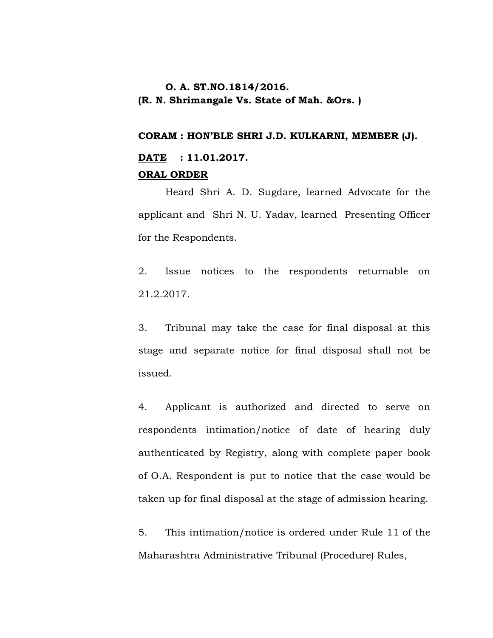# **O. A. ST.NO.1814/2016. (R. N. Shrimangale Vs. State of Mah. &Ors. )**

### **CORAM : HON'BLE SHRI J.D. KULKARNI, MEMBER (J).**

# **DATE : 11.01.2017. ORAL ORDER**

Heard Shri A. D. Sugdare, learned Advocate for the applicant and Shri N. U. Yadav, learned Presenting Officer for the Respondents.

2. Issue notices to the respondents returnable on 21.2.2017.

3. Tribunal may take the case for final disposal at this stage and separate notice for final disposal shall not be issued.

4. Applicant is authorized and directed to serve on respondents intimation/notice of date of hearing duly authenticated by Registry, along with complete paper book of O.A. Respondent is put to notice that the case would be taken up for final disposal at the stage of admission hearing.

5. This intimation/notice is ordered under Rule 11 of the Maharashtra Administrative Tribunal (Procedure) Rules,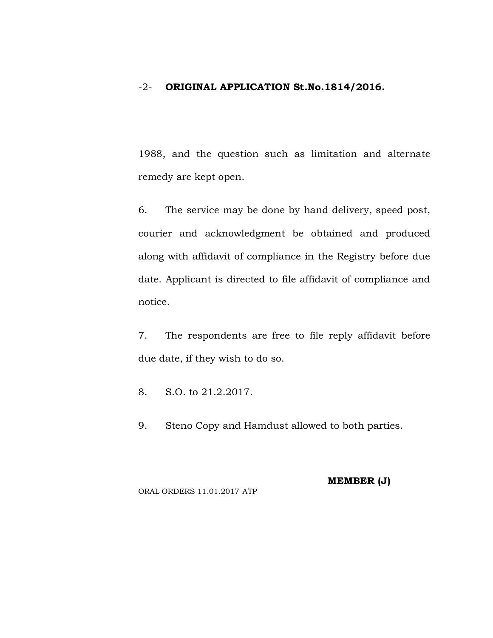### -2- **ORIGINAL APPLICATION St.No.1814/2016.**

1988, and the question such as limitation and alternate remedy are kept open.

6. The service may be done by hand delivery, speed post, courier and acknowledgment be obtained and produced along with affidavit of compliance in the Registry before due date. Applicant is directed to file affidavit of compliance and notice.

7. The respondents are free to file reply affidavit before due date, if they wish to do so.

8. S.O. to 21.2.2017.

9. Steno Copy and Hamdust allowed to both parties.

ORAL ORDERS 11.01.2017-ATP

**MEMBER (J)**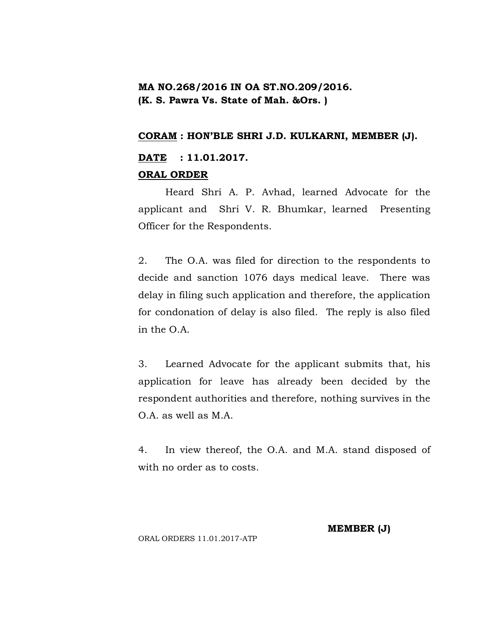# **MA NO.268/2016 IN OA ST.NO.209/2016. (K. S. Pawra Vs. State of Mah. &Ors. )**

### **CORAM : HON'BLE SHRI J.D. KULKARNI, MEMBER (J).**

# **DATE : 11.01.2017. ORAL ORDER**

Heard Shri A. P. Avhad, learned Advocate for the applicant and Shri V. R. Bhumkar, learned Presenting Officer for the Respondents.

2. The O.A. was filed for direction to the respondents to decide and sanction 1076 days medical leave. There was delay in filing such application and therefore, the application for condonation of delay is also filed. The reply is also filed in the O.A.

3. Learned Advocate for the applicant submits that, his application for leave has already been decided by the respondent authorities and therefore, nothing survives in the O.A. as well as M.A.

4. In view thereof, the O.A. and M.A. stand disposed of with no order as to costs.

#### **MEMBER (J)**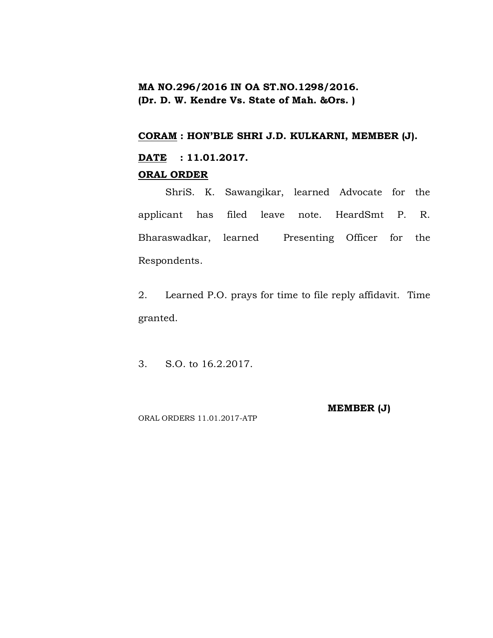# **MA NO.296/2016 IN OA ST.NO.1298/2016. (Dr. D. W. Kendre Vs. State of Mah. &Ors. )**

## **CORAM : HON'BLE SHRI J.D. KULKARNI, MEMBER (J).**

# **DATE : 11.01.2017.**

## **ORAL ORDER**

ShriS. K. Sawangikar, learned Advocate for the applicant has filed leave note. HeardSmt P. R. Bharaswadkar, learned Presenting Officer for the Respondents.

2. Learned P.O. prays for time to file reply affidavit. Time granted.

3. S.O. to 16.2.2017.

**MEMBER (J)**